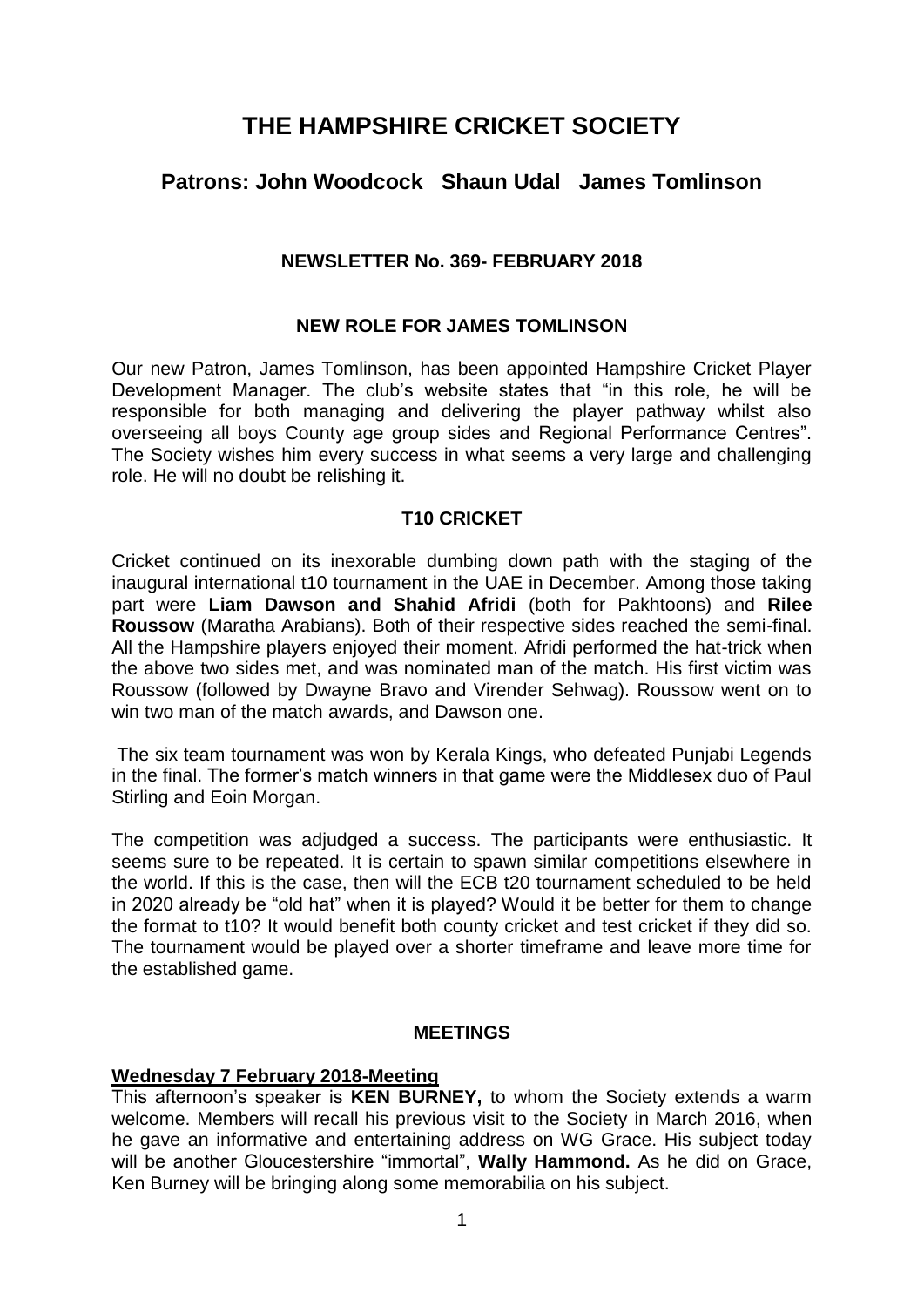# **THE HAMPSHIRE CRICKET SOCIETY**

# **Patrons: John Woodcock Shaun Udal James Tomlinson**

#### **NEWSLETTER No. 369- FEBRUARY 2018**

#### **NEW ROLE FOR JAMES TOMLINSON**

Our new Patron, James Tomlinson, has been appointed Hampshire Cricket Player Development Manager. The club's website states that "in this role, he will be responsible for both managing and delivering the player pathway whilst also overseeing all boys County age group sides and Regional Performance Centres". The Society wishes him every success in what seems a very large and challenging role. He will no doubt be relishing it.

#### **T10 CRICKET**

Cricket continued on its inexorable dumbing down path with the staging of the inaugural international t10 tournament in the UAE in December. Among those taking part were **Liam Dawson and Shahid Afridi** (both for Pakhtoons) and **Rilee Roussow** (Maratha Arabians). Both of their respective sides reached the semi-final. All the Hampshire players enjoyed their moment. Afridi performed the hat-trick when the above two sides met, and was nominated man of the match. His first victim was Roussow (followed by Dwayne Bravo and Virender Sehwag). Roussow went on to win two man of the match awards, and Dawson one.

The six team tournament was won by Kerala Kings, who defeated Punjabi Legends in the final. The former's match winners in that game were the Middlesex duo of Paul Stirling and Eoin Morgan.

The competition was adjudged a success. The participants were enthusiastic. It seems sure to be repeated. It is certain to spawn similar competitions elsewhere in the world. If this is the case, then will the ECB t20 tournament scheduled to be held in 2020 already be "old hat" when it is played? Would it be better for them to change the format to t10? It would benefit both county cricket and test cricket if they did so. The tournament would be played over a shorter timeframe and leave more time for the established game.

#### **MEETINGS**

#### **Wednesday 7 February 2018-Meeting**

This afternoon's speaker is **KEN BURNEY,** to whom the Society extends a warm welcome. Members will recall his previous visit to the Society in March 2016, when he gave an informative and entertaining address on WG Grace. His subject today will be another Gloucestershire "immortal", **Wally Hammond.** As he did on Grace, Ken Burney will be bringing along some memorabilia on his subject.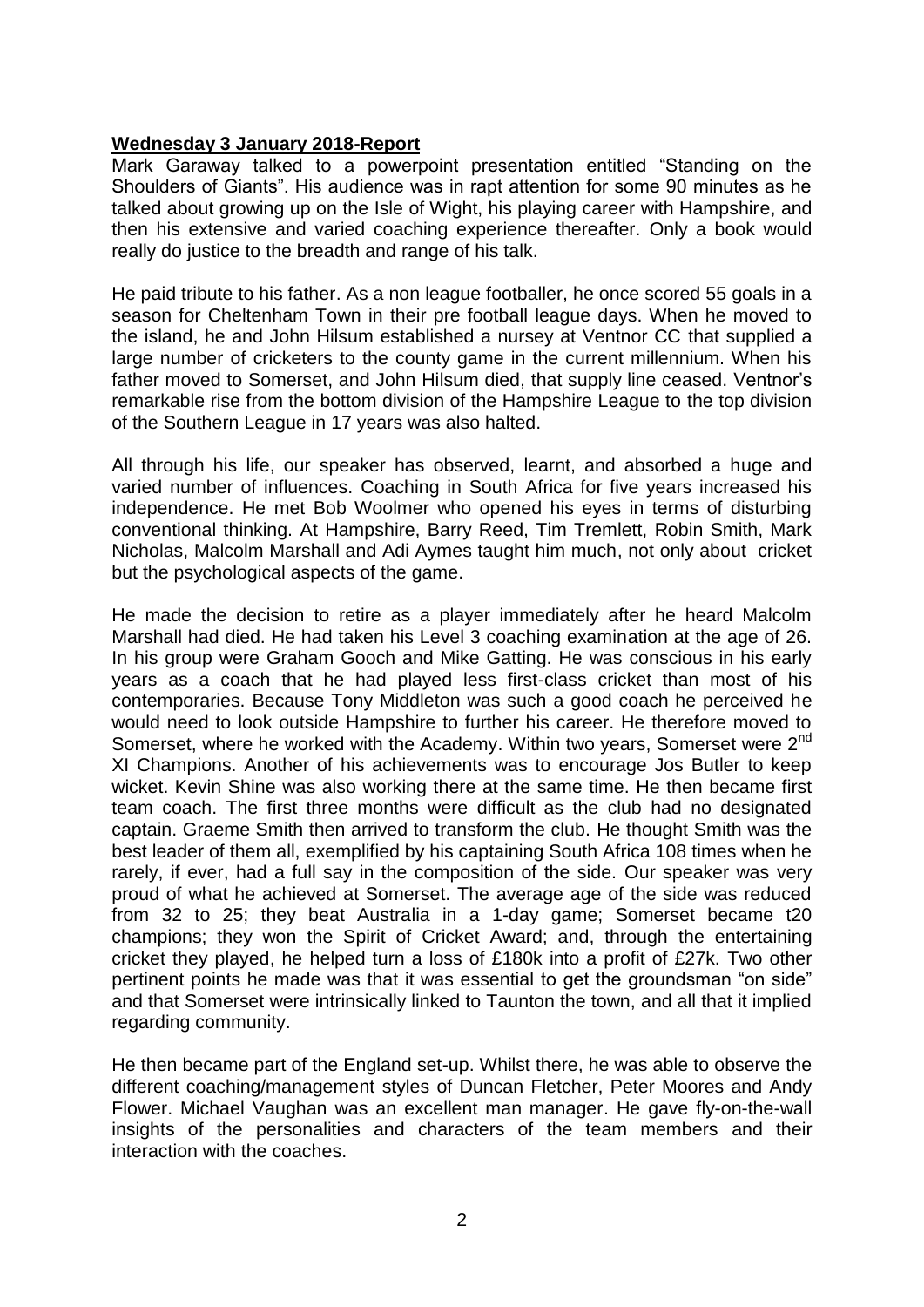#### **Wednesday 3 January 2018-Report**

Mark Garaway talked to a powerpoint presentation entitled "Standing on the Shoulders of Giants". His audience was in rapt attention for some 90 minutes as he talked about growing up on the Isle of Wight, his playing career with Hampshire, and then his extensive and varied coaching experience thereafter. Only a book would really do justice to the breadth and range of his talk.

He paid tribute to his father. As a non league footballer, he once scored 55 goals in a season for Cheltenham Town in their pre football league days. When he moved to the island, he and John Hilsum established a nursey at Ventnor CC that supplied a large number of cricketers to the county game in the current millennium. When his father moved to Somerset, and John Hilsum died, that supply line ceased. Ventnor's remarkable rise from the bottom division of the Hampshire League to the top division of the Southern League in 17 years was also halted.

All through his life, our speaker has observed, learnt, and absorbed a huge and varied number of influences. Coaching in South Africa for five years increased his independence. He met Bob Woolmer who opened his eyes in terms of disturbing conventional thinking. At Hampshire, Barry Reed, Tim Tremlett, Robin Smith, Mark Nicholas, Malcolm Marshall and Adi Aymes taught him much, not only about cricket but the psychological aspects of the game.

He made the decision to retire as a player immediately after he heard Malcolm Marshall had died. He had taken his Level 3 coaching examination at the age of 26. In his group were Graham Gooch and Mike Gatting. He was conscious in his early years as a coach that he had played less first-class cricket than most of his contemporaries. Because Tony Middleton was such a good coach he perceived he would need to look outside Hampshire to further his career. He therefore moved to Somerset, where he worked with the Academy. Within two years, Somerset were 2<sup>nd</sup> XI Champions. Another of his achievements was to encourage Jos Butler to keep wicket. Kevin Shine was also working there at the same time. He then became first team coach. The first three months were difficult as the club had no designated captain. Graeme Smith then arrived to transform the club. He thought Smith was the best leader of them all, exemplified by his captaining South Africa 108 times when he rarely, if ever, had a full say in the composition of the side. Our speaker was very proud of what he achieved at Somerset. The average age of the side was reduced from 32 to 25; they beat Australia in a 1-day game; Somerset became t20 champions; they won the Spirit of Cricket Award; and, through the entertaining cricket they played, he helped turn a loss of £180k into a profit of £27k. Two other pertinent points he made was that it was essential to get the groundsman "on side" and that Somerset were intrinsically linked to Taunton the town, and all that it implied regarding community.

He then became part of the England set-up. Whilst there, he was able to observe the different coaching/management styles of Duncan Fletcher, Peter Moores and Andy Flower. Michael Vaughan was an excellent man manager. He gave fly-on-the-wall insights of the personalities and characters of the team members and their interaction with the coaches.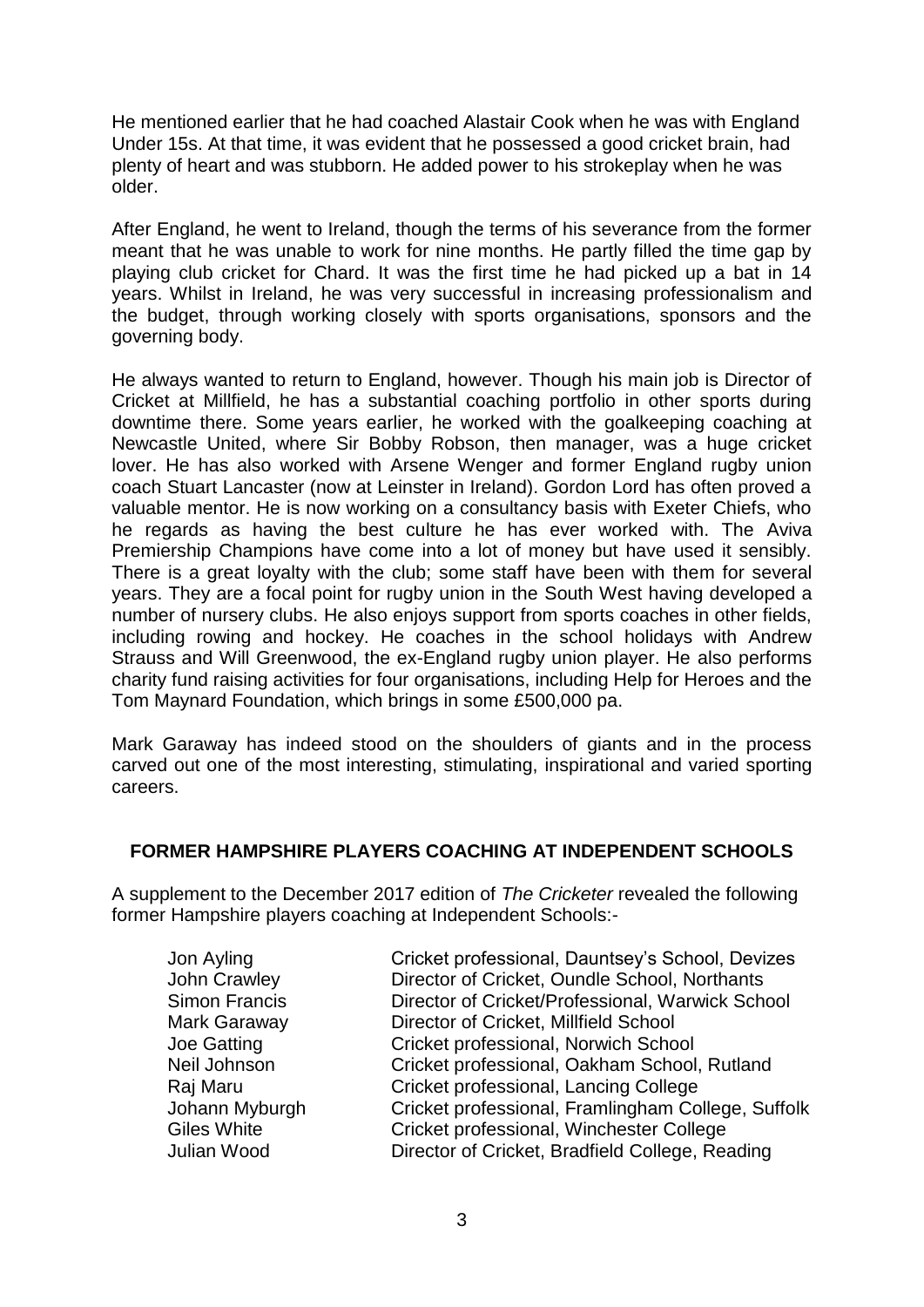He mentioned earlier that he had coached Alastair Cook when he was with England Under 15s. At that time, it was evident that he possessed a good cricket brain, had plenty of heart and was stubborn. He added power to his strokeplay when he was older.

After England, he went to Ireland, though the terms of his severance from the former meant that he was unable to work for nine months. He partly filled the time gap by playing club cricket for Chard. It was the first time he had picked up a bat in 14 years. Whilst in Ireland, he was very successful in increasing professionalism and the budget, through working closely with sports organisations, sponsors and the governing body.

He always wanted to return to England, however. Though his main job is Director of Cricket at Millfield, he has a substantial coaching portfolio in other sports during downtime there. Some years earlier, he worked with the goalkeeping coaching at Newcastle United, where Sir Bobby Robson, then manager, was a huge cricket lover. He has also worked with Arsene Wenger and former England rugby union coach Stuart Lancaster (now at Leinster in Ireland). Gordon Lord has often proved a valuable mentor. He is now working on a consultancy basis with Exeter Chiefs, who he regards as having the best culture he has ever worked with. The Aviva Premiership Champions have come into a lot of money but have used it sensibly. There is a great loyalty with the club; some staff have been with them for several years. They are a focal point for rugby union in the South West having developed a number of nursery clubs. He also enjoys support from sports coaches in other fields, including rowing and hockey. He coaches in the school holidays with Andrew Strauss and Will Greenwood, the ex-England rugby union player. He also performs charity fund raising activities for four organisations, including Help for Heroes and the Tom Maynard Foundation, which brings in some £500,000 pa.

Mark Garaway has indeed stood on the shoulders of giants and in the process carved out one of the most interesting, stimulating, inspirational and varied sporting careers.

#### **FORMER HAMPSHIRE PLAYERS COACHING AT INDEPENDENT SCHOOLS**

A supplement to the December 2017 edition of *The Cricketer* revealed the following former Hampshire players coaching at Independent Schools:-

| Cricket professional, Dauntsey's School, Devizes<br>Jon Ayling           |  |
|--------------------------------------------------------------------------|--|
| Director of Cricket, Oundle School, Northants<br>John Crawley            |  |
| <b>Simon Francis</b><br>Director of Cricket/Professional, Warwick School |  |
| Director of Cricket, Millfield School<br>Mark Garaway                    |  |
| <b>Joe Gatting</b><br>Cricket professional, Norwich School               |  |
| Neil Johnson<br>Cricket professional, Oakham School, Rutland             |  |
| Cricket professional, Lancing College<br>Raj Maru                        |  |
| Cricket professional, Framlingham College, Suffolk<br>Johann Myburgh     |  |
| <b>Giles White</b><br>Cricket professional, Winchester College           |  |
| Director of Cricket, Bradfield College, Reading<br>Julian Wood           |  |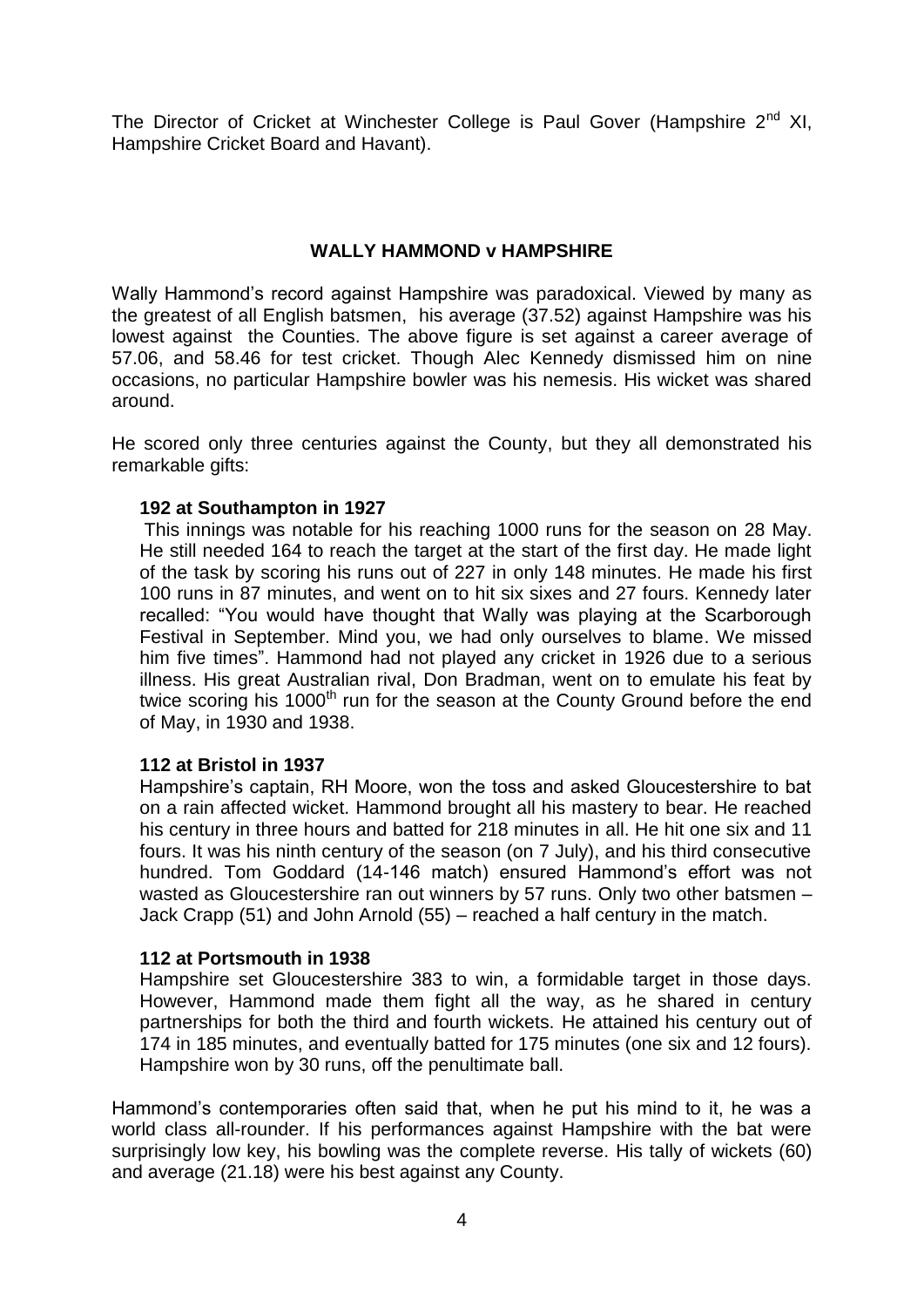The Director of Cricket at Winchester College is Paul Gover (Hampshire  $2^{nd}$  XI, Hampshire Cricket Board and Havant).

#### **WALLY HAMMOND v HAMPSHIRE**

Wally Hammond's record against Hampshire was paradoxical. Viewed by many as the greatest of all English batsmen, his average (37.52) against Hampshire was his lowest against the Counties. The above figure is set against a career average of 57.06, and 58.46 for test cricket. Though Alec Kennedy dismissed him on nine occasions, no particular Hampshire bowler was his nemesis. His wicket was shared around.

He scored only three centuries against the County, but they all demonstrated his remarkable gifts:

#### **192 at Southampton in 1927**

This innings was notable for his reaching 1000 runs for the season on 28 May. He still needed 164 to reach the target at the start of the first day. He made light of the task by scoring his runs out of 227 in only 148 minutes. He made his first 100 runs in 87 minutes, and went on to hit six sixes and 27 fours. Kennedy later recalled: "You would have thought that Wally was playing at the Scarborough Festival in September. Mind you, we had only ourselves to blame. We missed him five times". Hammond had not played any cricket in 1926 due to a serious illness. His great Australian rival, Don Bradman, went on to emulate his feat by twice scoring his  $1000<sup>th</sup>$  run for the season at the County Ground before the end of May, in 1930 and 1938.

#### **112 at Bristol in 1937**

Hampshire's captain, RH Moore, won the toss and asked Gloucestershire to bat on a rain affected wicket. Hammond brought all his mastery to bear. He reached his century in three hours and batted for 218 minutes in all. He hit one six and 11 fours. It was his ninth century of the season (on 7 July), and his third consecutive hundred. Tom Goddard (14-146 match) ensured Hammond's effort was not wasted as Gloucestershire ran out winners by 57 runs. Only two other batsmen – Jack Crapp (51) and John Arnold (55) – reached a half century in the match.

#### **112 at Portsmouth in 1938**

Hampshire set Gloucestershire 383 to win, a formidable target in those days. However, Hammond made them fight all the way, as he shared in century partnerships for both the third and fourth wickets. He attained his century out of 174 in 185 minutes, and eventually batted for 175 minutes (one six and 12 fours). Hampshire won by 30 runs, off the penultimate ball.

Hammond's contemporaries often said that, when he put his mind to it, he was a world class all-rounder. If his performances against Hampshire with the bat were surprisingly low key, his bowling was the complete reverse. His tally of wickets (60) and average (21.18) were his best against any County.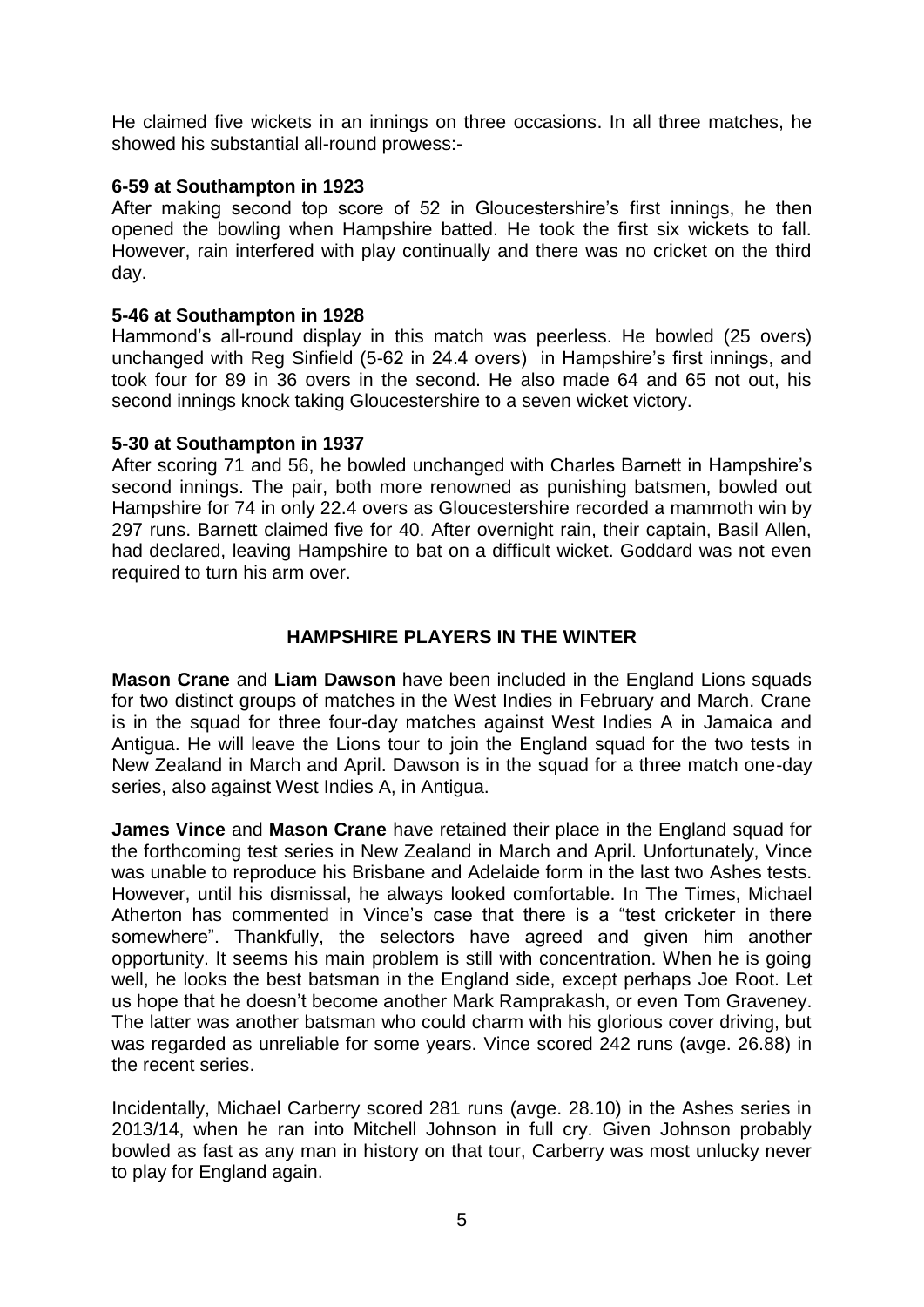He claimed five wickets in an innings on three occasions. In all three matches, he showed his substantial all-round prowess:-

#### **6-59 at Southampton in 1923**

After making second top score of 52 in Gloucestershire's first innings, he then opened the bowling when Hampshire batted. He took the first six wickets to fall. However, rain interfered with play continually and there was no cricket on the third day.

#### **5-46 at Southampton in 1928**

Hammond's all-round display in this match was peerless. He bowled (25 overs) unchanged with Reg Sinfield (5-62 in 24.4 overs) in Hampshire's first innings, and took four for 89 in 36 overs in the second. He also made 64 and 65 not out, his second innings knock taking Gloucestershire to a seven wicket victory.

#### **5-30 at Southampton in 1937**

After scoring 71 and 56, he bowled unchanged with Charles Barnett in Hampshire's second innings. The pair, both more renowned as punishing batsmen, bowled out Hampshire for 74 in only 22.4 overs as Gloucestershire recorded a mammoth win by 297 runs. Barnett claimed five for 40. After overnight rain, their captain, Basil Allen, had declared, leaving Hampshire to bat on a difficult wicket. Goddard was not even required to turn his arm over.

### **HAMPSHIRE PLAYERS IN THE WINTER**

**Mason Crane** and **Liam Dawson** have been included in the England Lions squads for two distinct groups of matches in the West Indies in February and March. Crane is in the squad for three four-day matches against West Indies A in Jamaica and Antigua. He will leave the Lions tour to join the England squad for the two tests in New Zealand in March and April. Dawson is in the squad for a three match one-day series, also against West Indies A, in Antigua.

**James Vince** and **Mason Crane** have retained their place in the England squad for the forthcoming test series in New Zealand in March and April. Unfortunately, Vince was unable to reproduce his Brisbane and Adelaide form in the last two Ashes tests. However, until his dismissal, he always looked comfortable. In The Times, Michael Atherton has commented in Vince's case that there is a "test cricketer in there somewhere". Thankfully, the selectors have agreed and given him another opportunity. It seems his main problem is still with concentration. When he is going well, he looks the best batsman in the England side, except perhaps Joe Root. Let us hope that he doesn't become another Mark Ramprakash, or even Tom Graveney. The latter was another batsman who could charm with his glorious cover driving, but was regarded as unreliable for some years. Vince scored 242 runs (avge. 26.88) in the recent series.

Incidentally, Michael Carberry scored 281 runs (avge. 28.10) in the Ashes series in 2013/14, when he ran into Mitchell Johnson in full cry. Given Johnson probably bowled as fast as any man in history on that tour, Carberry was most unlucky never to play for England again.